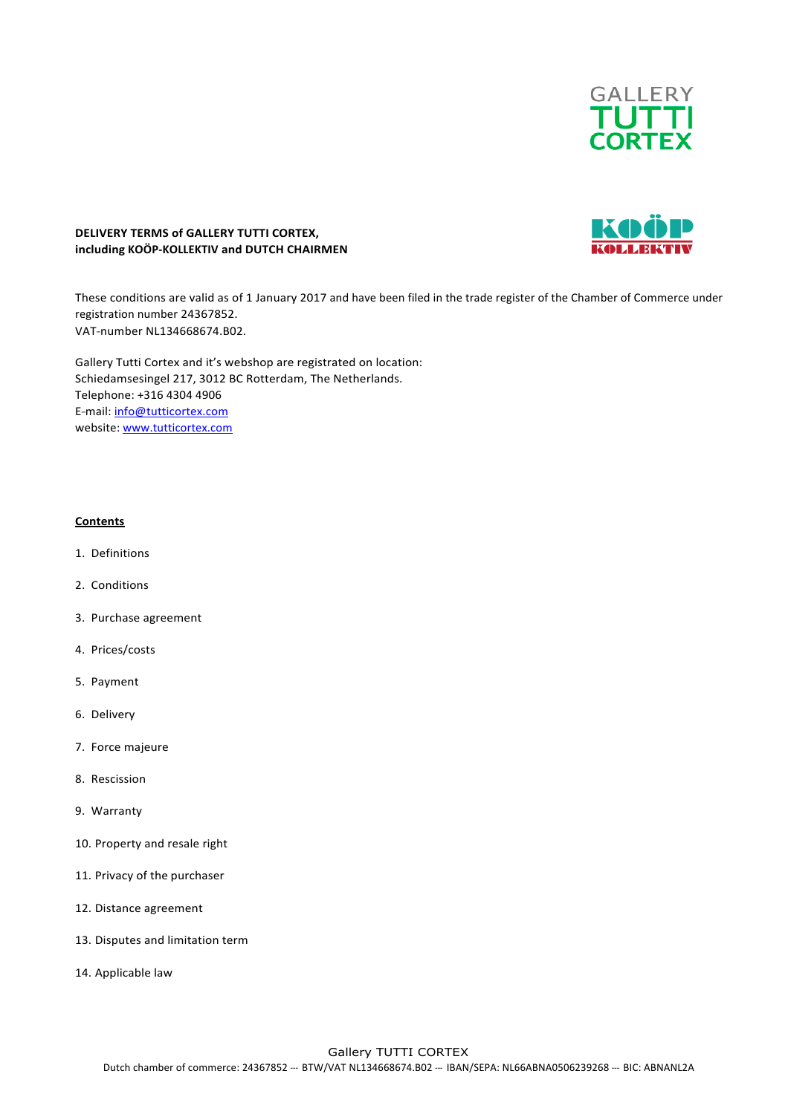

# KOÖ

# **DELIVERY TERMS of GALLERY TUTTI CORTEX, including KOÖP-KOLLEKTIV and DUTCH CHAIRMEN**

These conditions are valid as of 1 January 2017 and have been filed in the trade register of the Chamber of Commerce under registration number 24367852. VAT-number NL134668674.B02.

Gallery Tutti Cortex and it's webshop are registrated on location: Schiedamsesingel 217, 3012 BC Rotterdam, The Netherlands. Telephone: +316 4304 4906 E-mail: info@tutticortex.com website: www.tutticortex.com

# **Contents**

- 1. Definitions
- 2. Conditions
- 3. Purchase agreement
- 4. Prices/costs
- 5. Payment
- 6. Delivery
- 7. Force majeure
- 8. Rescission
- 9. Warranty
- 10. Property and resale right
- 11. Privacy of the purchaser
- 12. Distance agreement
- 13. Disputes and limitation term
- 14. Applicable law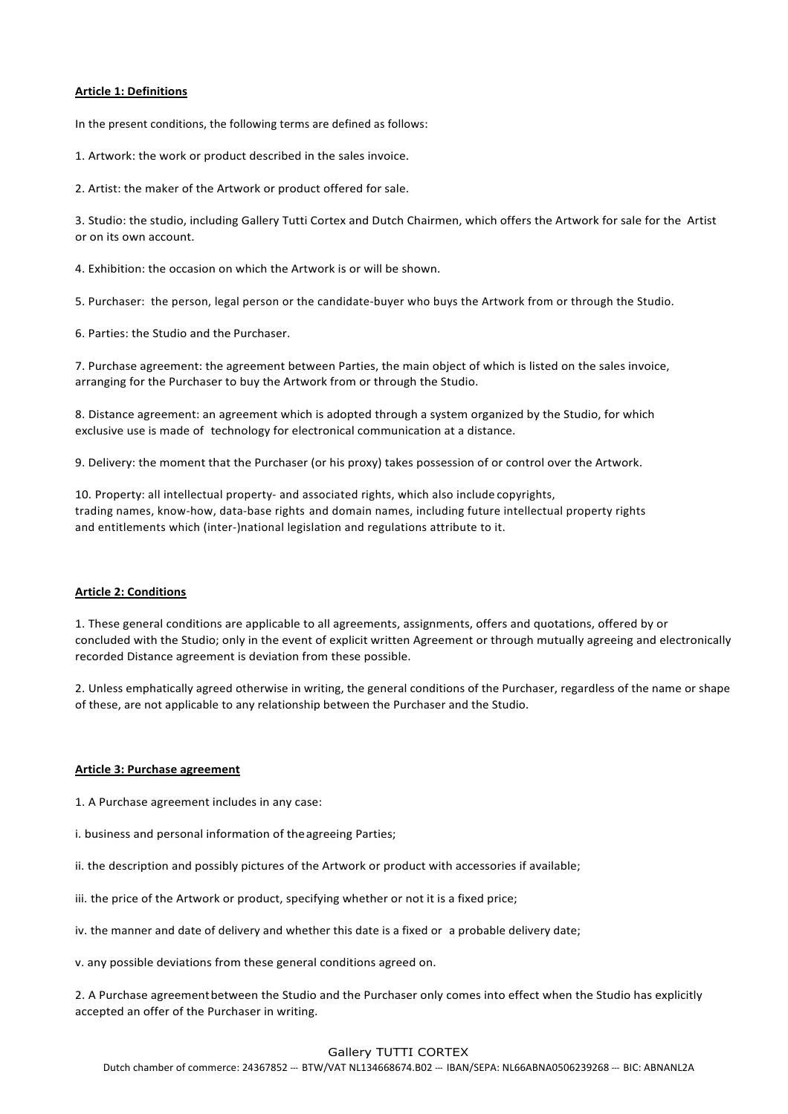#### **Article 1: Definitions**

In the present conditions, the following terms are defined as follows:

1. Artwork: the work or product described in the sales invoice.

2. Artist: the maker of the Artwork or product offered for sale.

3. Studio: the studio, including Gallery Tutti Cortex and Dutch Chairmen, which offers the Artwork for sale for the Artist or on its own account.

4. Exhibition: the occasion on which the Artwork is or will be shown.

5. Purchaser: the person, legal person or the candidate-buyer who buys the Artwork from or through the Studio.

6. Parties: the Studio and the Purchaser.

7. Purchase agreement: the agreement between Parties, the main object of which is listed on the sales invoice, arranging for the Purchaser to buy the Artwork from or through the Studio.

8. Distance agreement: an agreement which is adopted through a system organized by the Studio, for which exclusive use is made of technology for electronical communication at a distance.

9. Delivery: the moment that the Purchaser (or his proxy) takes possession of or control over the Artwork.

10. Property: all intellectual property- and associated rights, which also include copyrights, trading names, know-how, data-base rights and domain names, including future intellectual property rights and entitlements which (inter-)national legislation and regulations attribute to it.

#### **Article 2: Conditions**

1. These general conditions are applicable to all agreements, assignments, offers and quotations, offered by or concluded with the Studio; only in the event of explicit written Agreement or through mutually agreeing and electronically recorded Distance agreement is deviation from these possible.

2. Unless emphatically agreed otherwise in writing, the general conditions of the Purchaser, regardless of the name or shape of these, are not applicable to any relationship between the Purchaser and the Studio.

#### **Article 3: Purchase agreement**

1. A Purchase agreement includes in any case:

i. business and personal information of the agreeing Parties;

ii. the description and possibly pictures of the Artwork or product with accessories if available;

iii. the price of the Artwork or product, specifying whether or not it is a fixed price;

iv. the manner and date of delivery and whether this date is a fixed or a probable delivery date;

v. any possible deviations from these general conditions agreed on.

2. A Purchase agreement between the Studio and the Purchaser only comes into effect when the Studio has explicitly accepted an offer of the Purchaser in writing.

# Gallery TUTTI CORTEX

Dutch chamber of commerce: 24367852 --- BTW/VAT NL134668674.B02 --- IBAN/SEPA: NL66ABNA0506239268 --- BIC: ABNANL2A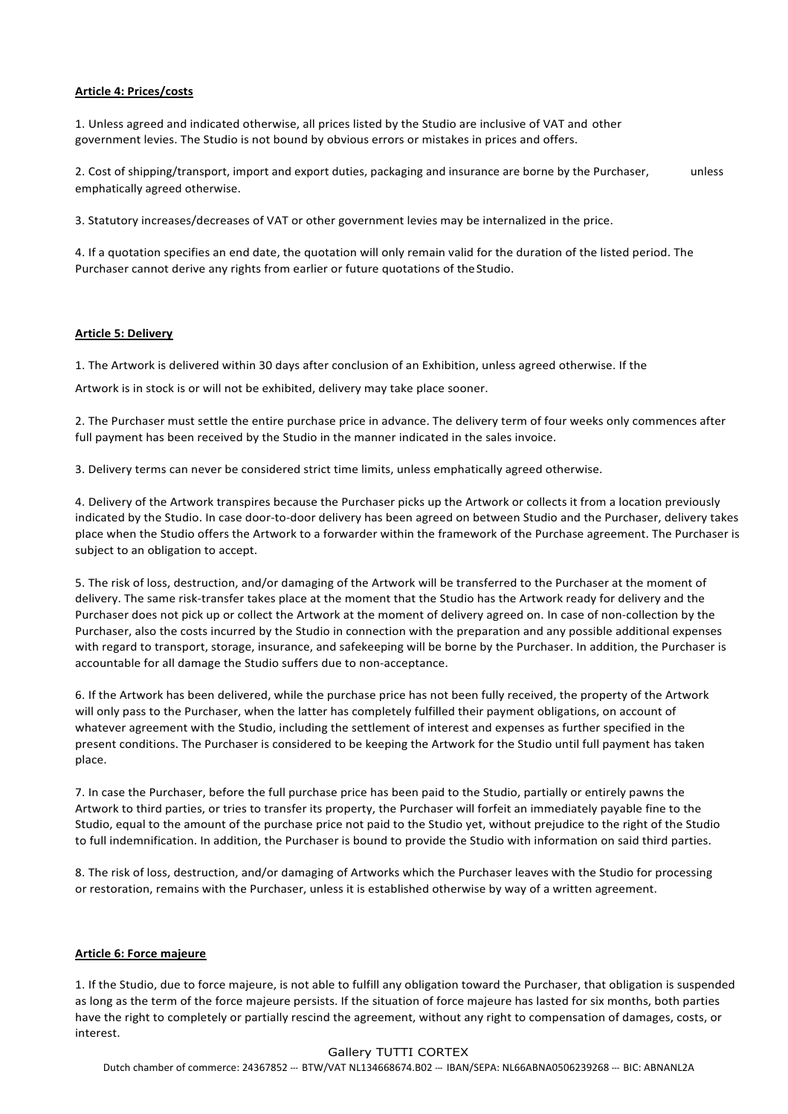### **Article 4: Prices/costs**

1. Unless agreed and indicated otherwise, all prices listed by the Studio are inclusive of VAT and other government levies. The Studio is not bound by obvious errors or mistakes in prices and offers.

2. Cost of shipping/transport, import and export duties, packaging and insurance are borne by the Purchaser, unless emphatically agreed otherwise.

3. Statutory increases/decreases of VAT or other government levies may be internalized in the price.

4. If a quotation specifies an end date, the quotation will only remain valid for the duration of the listed period. The Purchaser cannot derive any rights from earlier or future quotations of the Studio.

#### **Article 5: Delivery**

1. The Artwork is delivered within 30 days after conclusion of an Exhibition, unless agreed otherwise. If the

Artwork is in stock is or will not be exhibited, delivery may take place sooner.

2. The Purchaser must settle the entire purchase price in advance. The delivery term of four weeks only commences after full payment has been received by the Studio in the manner indicated in the sales invoice.

3. Delivery terms can never be considered strict time limits, unless emphatically agreed otherwise.

4. Delivery of the Artwork transpires because the Purchaser picks up the Artwork or collects it from a location previously indicated by the Studio. In case door-to-door delivery has been agreed on between Studio and the Purchaser, delivery takes place when the Studio offers the Artwork to a forwarder within the framework of the Purchase agreement. The Purchaser is subject to an obligation to accept.

5. The risk of loss, destruction, and/or damaging of the Artwork will be transferred to the Purchaser at the moment of delivery. The same risk-transfer takes place at the moment that the Studio has the Artwork ready for delivery and the Purchaser does not pick up or collect the Artwork at the moment of delivery agreed on. In case of non-collection by the Purchaser, also the costs incurred by the Studio in connection with the preparation and any possible additional expenses with regard to transport, storage, insurance, and safekeeping will be borne by the Purchaser. In addition, the Purchaser is accountable for all damage the Studio suffers due to non-acceptance.

6. If the Artwork has been delivered, while the purchase price has not been fully received, the property of the Artwork will only pass to the Purchaser, when the latter has completely fulfilled their payment obligations, on account of whatever agreement with the Studio, including the settlement of interest and expenses as further specified in the present conditions. The Purchaser is considered to be keeping the Artwork for the Studio until full payment has taken place.

7. In case the Purchaser, before the full purchase price has been paid to the Studio, partially or entirely pawns the Artwork to third parties, or tries to transfer its property, the Purchaser will forfeit an immediately payable fine to the Studio, equal to the amount of the purchase price not paid to the Studio vet, without prejudice to the right of the Studio to full indemnification. In addition, the Purchaser is bound to provide the Studio with information on said third parties.

8. The risk of loss, destruction, and/or damaging of Artworks which the Purchaser leaves with the Studio for processing or restoration, remains with the Purchaser, unless it is established otherwise by way of a written agreement.

#### **Article 6: Force majeure**

1. If the Studio, due to force majeure, is not able to fulfill any obligation toward the Purchaser, that obligation is suspended as long as the term of the force majeure persists. If the situation of force majeure has lasted for six months, both parties have the right to completely or partially rescind the agreement, without any right to compensation of damages, costs, or interest.

# Gallery TUTTI CORTEX

Dutch chamber of commerce: 24367852 --- BTW/VAT NL134668674.B02 --- IBAN/SEPA: NL66ABNA0506239268 --- BIC: ABNANL2A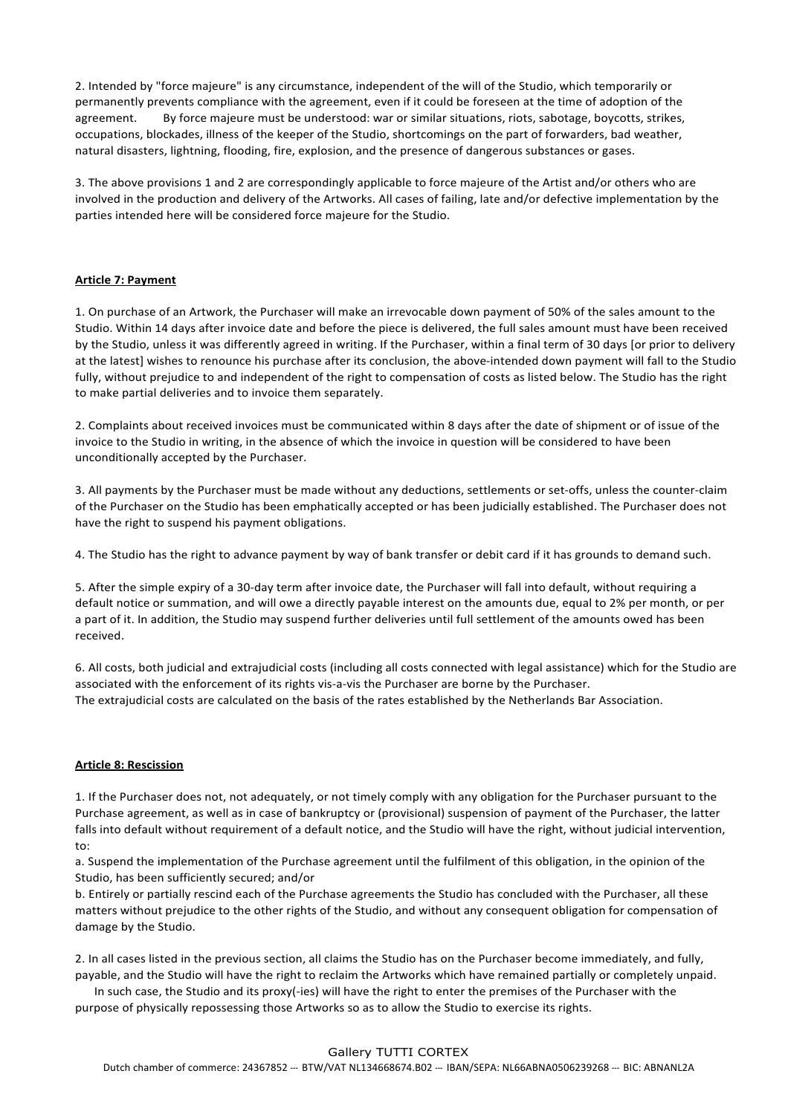2. Intended by "force majeure" is any circumstance, independent of the will of the Studio, which temporarily or permanently prevents compliance with the agreement, even if it could be foreseen at the time of adoption of the agreement. By force majeure must be understood: war or similar situations, riots, sabotage, boycotts, strikes, occupations, blockades, illness of the keeper of the Studio, shortcomings on the part of forwarders, bad weather, natural disasters, lightning, flooding, fire, explosion, and the presence of dangerous substances or gases.

3. The above provisions 1 and 2 are correspondingly applicable to force majeure of the Artist and/or others who are involved in the production and delivery of the Artworks. All cases of failing, late and/or defective implementation by the parties intended here will be considered force majeure for the Studio.

# **Article 7: Payment**

1. On purchase of an Artwork, the Purchaser will make an irrevocable down payment of 50% of the sales amount to the Studio. Within 14 days after invoice date and before the piece is delivered, the full sales amount must have been received by the Studio, unless it was differently agreed in writing. If the Purchaser, within a final term of 30 days [or prior to delivery at the latest] wishes to renounce his purchase after its conclusion, the above-intended down payment will fall to the Studio fully, without prejudice to and independent of the right to compensation of costs as listed below. The Studio has the right to make partial deliveries and to invoice them separately.

2. Complaints about received invoices must be communicated within 8 days after the date of shipment or of issue of the invoice to the Studio in writing, in the absence of which the invoice in question will be considered to have been unconditionally accepted by the Purchaser.

3. All payments by the Purchaser must be made without any deductions, settlements or set-offs, unless the counter-claim of the Purchaser on the Studio has been emphatically accepted or has been judicially established. The Purchaser does not have the right to suspend his payment obligations.

4. The Studio has the right to advance payment by way of bank transfer or debit card if it has grounds to demand such.

5. After the simple expiry of a 30-day term after invoice date, the Purchaser will fall into default, without requiring a default notice or summation, and will owe a directly payable interest on the amounts due, equal to 2% per month, or per a part of it. In addition, the Studio may suspend further deliveries until full settlement of the amounts owed has been received.

6. All costs, both judicial and extrajudicial costs (including all costs connected with legal assistance) which for the Studio are associated with the enforcement of its rights vis-a-vis the Purchaser are borne by the Purchaser. The extrajudicial costs are calculated on the basis of the rates established by the Netherlands Bar Association.

# **Article 8: Rescission**

1. If the Purchaser does not, not adequately, or not timely comply with any obligation for the Purchaser pursuant to the Purchase agreement, as well as in case of bankruptcy or (provisional) suspension of payment of the Purchaser, the latter falls into default without requirement of a default notice, and the Studio will have the right, without judicial intervention, to:

a. Suspend the implementation of the Purchase agreement until the fulfilment of this obligation, in the opinion of the Studio, has been sufficiently secured; and/or

b. Entirely or partially rescind each of the Purchase agreements the Studio has concluded with the Purchaser, all these matters without prejudice to the other rights of the Studio, and without any consequent obligation for compensation of damage by the Studio.

2. In all cases listed in the previous section, all claims the Studio has on the Purchaser become immediately, and fully, payable, and the Studio will have the right to reclaim the Artworks which have remained partially or completely unpaid.

In such case, the Studio and its proxy(-ies) will have the right to enter the premises of the Purchaser with the purpose of physically repossessing those Artworks so as to allow the Studio to exercise its rights.

# Gallery TUTTI CORTEX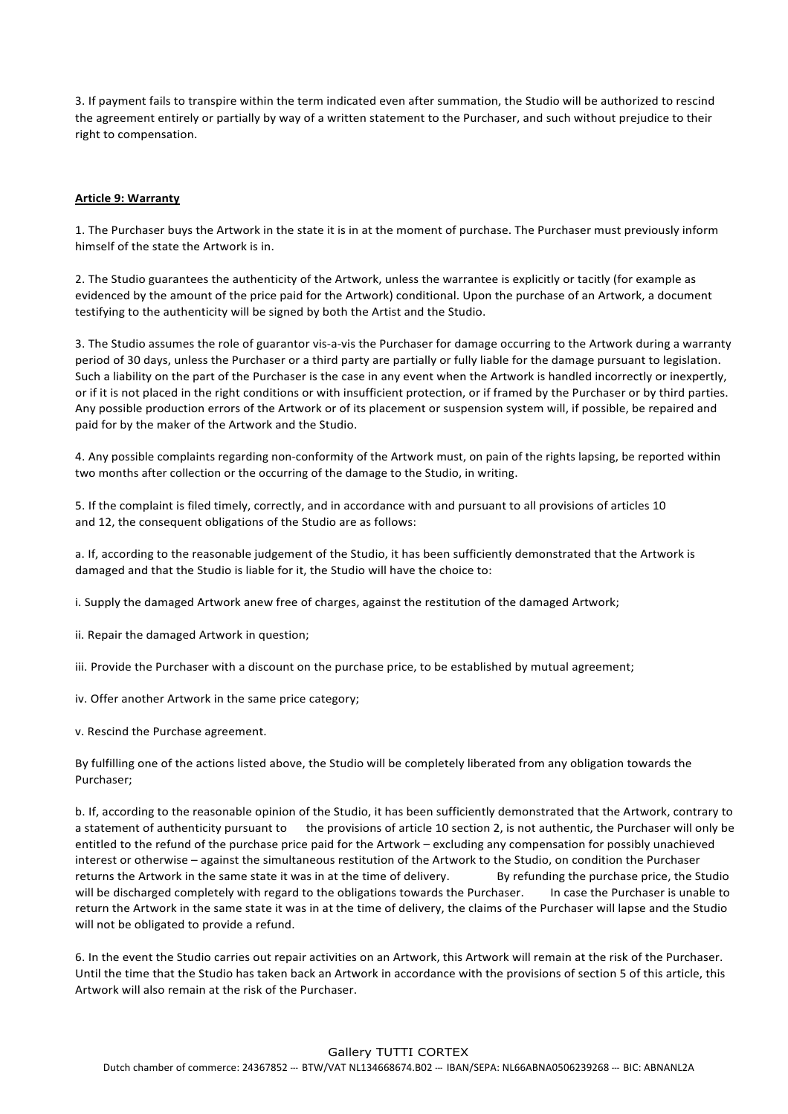3. If payment fails to transpire within the term indicated even after summation, the Studio will be authorized to rescind the agreement entirely or partially by way of a written statement to the Purchaser, and such without prejudice to their right to compensation.

## **Article 9: Warranty**

1. The Purchaser buys the Artwork in the state it is in at the moment of purchase. The Purchaser must previously inform himself of the state the Artwork is in.

2. The Studio guarantees the authenticity of the Artwork, unless the warrantee is explicitly or tacitly (for example as evidenced by the amount of the price paid for the Artwork) conditional. Upon the purchase of an Artwork, a document testifying to the authenticity will be signed by both the Artist and the Studio.

3. The Studio assumes the role of guarantor vis-a-vis the Purchaser for damage occurring to the Artwork during a warranty period of 30 days, unless the Purchaser or a third party are partially or fully liable for the damage pursuant to legislation. Such a liability on the part of the Purchaser is the case in any event when the Artwork is handled incorrectly or inexpertly, or if it is not placed in the right conditions or with insufficient protection, or if framed by the Purchaser or by third parties. Any possible production errors of the Artwork or of its placement or suspension system will, if possible, be repaired and paid for by the maker of the Artwork and the Studio.

4. Any possible complaints regarding non-conformity of the Artwork must, on pain of the rights lapsing, be reported within two months after collection or the occurring of the damage to the Studio, in writing.

5. If the complaint is filed timely, correctly, and in accordance with and pursuant to all provisions of articles 10 and 12, the consequent obligations of the Studio are as follows:

a. If, according to the reasonable judgement of the Studio, it has been sufficiently demonstrated that the Artwork is damaged and that the Studio is liable for it, the Studio will have the choice to:

i. Supply the damaged Artwork anew free of charges, against the restitution of the damaged Artwork;

ii. Repair the damaged Artwork in question;

iii. Provide the Purchaser with a discount on the purchase price, to be established by mutual agreement;

iv. Offer another Artwork in the same price category;

v. Rescind the Purchase agreement.

By fulfilling one of the actions listed above, the Studio will be completely liberated from any obligation towards the Purchaser;

b. If, according to the reasonable opinion of the Studio, it has been sufficiently demonstrated that the Artwork, contrary to a statement of authenticity pursuant to the provisions of article 10 section 2, is not authentic, the Purchaser will only be entitled to the refund of the purchase price paid for the Artwork – excluding any compensation for possibly unachieved interest or otherwise – against the simultaneous restitution of the Artwork to the Studio, on condition the Purchaser returns the Artwork in the same state it was in at the time of delivery. By refunding the purchase price, the Studio will be discharged completely with regard to the obligations towards the Purchaser. In case the Purchaser is unable to return the Artwork in the same state it was in at the time of delivery, the claims of the Purchaser will lapse and the Studio will not be obligated to provide a refund.

6. In the event the Studio carries out repair activities on an Artwork, this Artwork will remain at the risk of the Purchaser. Until the time that the Studio has taken back an Artwork in accordance with the provisions of section 5 of this article, this Artwork will also remain at the risk of the Purchaser.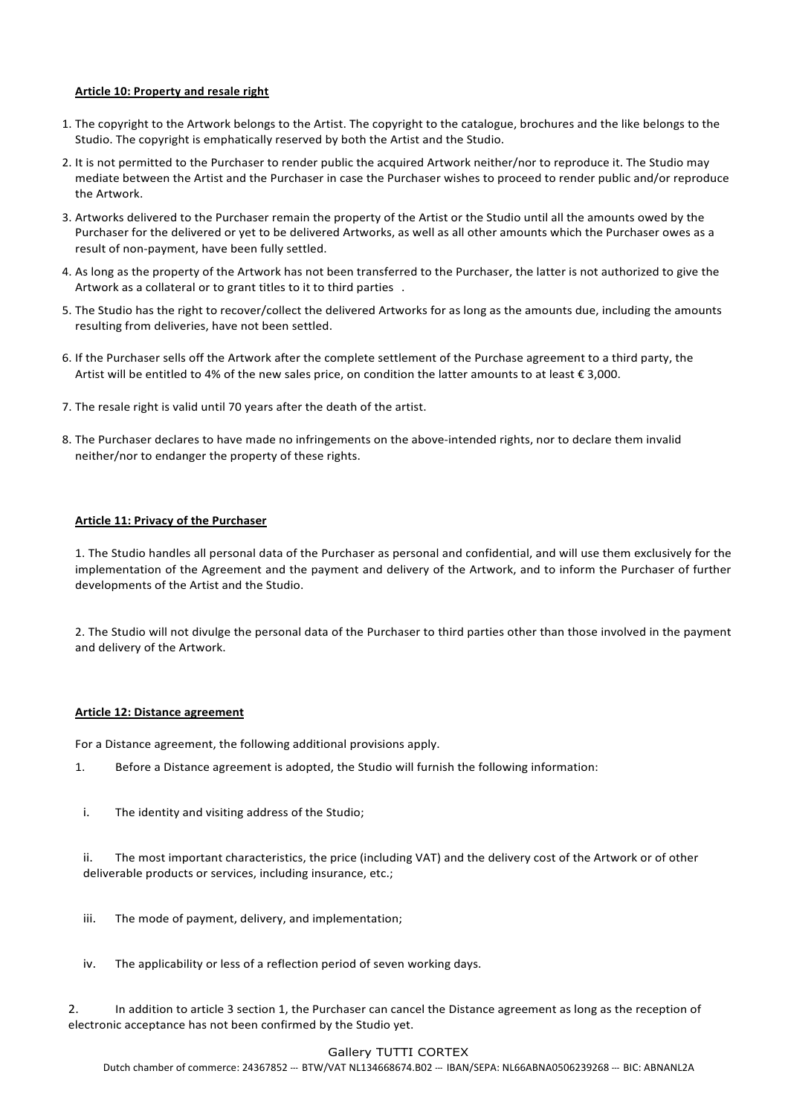# **Article 10: Property and resale right**

- 1. The copyright to the Artwork belongs to the Artist. The copyright to the catalogue, brochures and the like belongs to the Studio. The copyright is emphatically reserved by both the Artist and the Studio.
- 2. It is not permitted to the Purchaser to render public the acquired Artwork neither/nor to reproduce it. The Studio may mediate between the Artist and the Purchaser in case the Purchaser wishes to proceed to render public and/or reproduce the Artwork
- 3. Artworks delivered to the Purchaser remain the property of the Artist or the Studio until all the amounts owed by the Purchaser for the delivered or yet to be delivered Artworks, as well as all other amounts which the Purchaser owes as a result of non-payment, have been fully settled.
- 4. As long as the property of the Artwork has not been transferred to the Purchaser, the latter is not authorized to give the Artwork as a collateral or to grant titles to it to third parties .
- 5. The Studio has the right to recover/collect the delivered Artworks for as long as the amounts due, including the amounts resulting from deliveries, have not been settled.
- 6. If the Purchaser sells off the Artwork after the complete settlement of the Purchase agreement to a third party, the Artist will be entitled to 4% of the new sales price, on condition the latter amounts to at least  $\epsilon$  3,000.
- 7. The resale right is valid until 70 years after the death of the artist.
- 8. The Purchaser declares to have made no infringements on the above-intended rights, nor to declare them invalid neither/nor to endanger the property of these rights.

## **Article 11: Privacy of the Purchaser**

1. The Studio handles all personal data of the Purchaser as personal and confidential, and will use them exclusively for the implementation of the Agreement and the payment and delivery of the Artwork, and to inform the Purchaser of further developments of the Artist and the Studio.

2. The Studio will not divulge the personal data of the Purchaser to third parties other than those involved in the payment and delivery of the Artwork.

#### **Article 12: Distance agreement**

For a Distance agreement, the following additional provisions apply.

- 1. Before a Distance agreement is adopted, the Studio will furnish the following information:
- i. The identity and visiting address of the Studio;

ii. The most important characteristics, the price (including VAT) and the delivery cost of the Artwork or of other deliverable products or services, including insurance, etc.;

- iii. The mode of payment, delivery, and implementation;
- iv. The applicability or less of a reflection period of seven working days.

2. In addition to article 3 section 1, the Purchaser can cancel the Distance agreement as long as the reception of electronic acceptance has not been confirmed by the Studio vet.

#### Gallery TUTTI CORTEX

Dutch chamber of commerce: 24367852 --- BTW/VAT NL134668674.B02 --- IBAN/SEPA: NL66ABNA0506239268 --- BIC: ABNANL2A